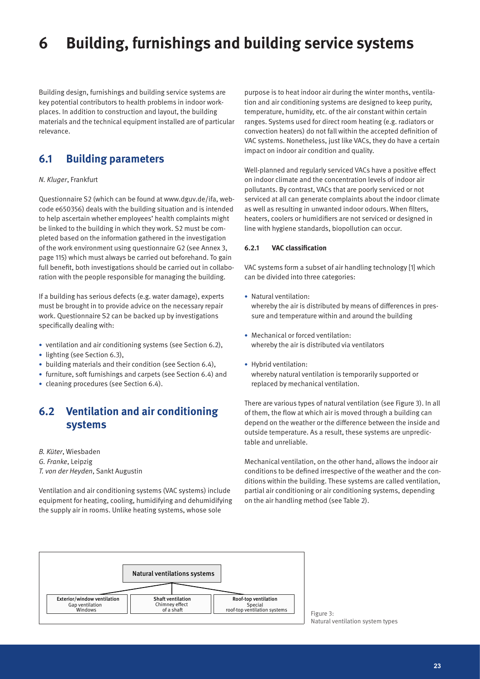# **6 Building, furnishings and building service systems**

Building design, furnishings and building service systems are key potential contributors to health problems in indoor workplaces. In addition to construction and layout, the building materials and the technical equipment installed are of particular relevance.

# **6.1 Building parameters**

### *N. Kluger*, Frankfurt

Questionnaire S2 (which can be found at www.dguv.de/ifa, webcode e650356) deals with the building situation and is intended to help ascertain whether employees' health complaints might be linked to the building in which they work. S2 must be completed based on the information gathered in the investigation of the work environment using questionnaire G2 (see Annex 3, page 115) which must always be carried out beforehand. To gain full benefit, both investigations should be carried out in collaboration with the people responsible for managing the building.

If a building has serious defects (e.g. water damage), experts must be brought in to provide advice on the necessary repair work. Questionnaire S2 can be backed up by investigations specifically dealing with:

- ventilation and air conditioning systems (see Section 6.2),
- lighting (see Section 6.3),
- building materials and their condition (see Section 6.4),
- furniture, soft furnishings and carpets (see Section 6.4) and
- cleaning procedures (see Section 6.4).

# **6.2 Ventilation and air conditioning systems**

*B. Küter*, Wiesbaden

- *G. Franke*, Leipzig
- *T. von der Heyden*, Sankt Augustin

Ventilation and air conditioning systems (VAC systems) include equipment for heating, cooling, humidifying and dehumidifying the supply air in rooms. Unlike heating systems, whose sole

purpose is to heat indoor air during the winter months, ventilation and air conditioning systems are designed to keep purity, temperature, humidity, etc. of the air constant within certain ranges. Systems used for direct room heating (e.g. radiators or convection heaters) do not fall within the accepted definition of VAC systems. Nonetheless, just like VACs, they do have a certain impact on indoor air condition and quality.

Well-planned and regularly serviced VACs have a positive effect on indoor climate and the concentration levels of indoor air pollutants. By contrast, VACs that are poorly serviced or not serviced at all can generate complaints about the indoor climate as well as resulting in unwanted indoor odours. When filters, heaters, coolers or humidifiers are not serviced or designed in line with hygiene standards, biopollution can occur.

#### **6.2.1 VAC classification**

VAC systems form a subset of air handling technology [1] which can be divided into three categories:

- Natural ventilation: whereby the air is distributed by means of differences in pressure and temperature within and around the building
- Mechanical or forced ventilation: whereby the air is distributed via ventilators
- Hybrid ventilation: whereby natural ventilation is temporarily supported or replaced by mechanical ventilation.

There are various types of natural ventilation (see Figure 3). In all of them, the flow at which air is moved through a building can depend on the weather or the difference between the inside and outside temperature. As a result, these systems are unpredictable and unreliable.

Mechanical ventilation, on the other hand, allows the indoor air conditions to be defined irrespective of the weather and the conditions within the building. These systems are called ventilation, partial air conditioning or air conditioning systems, depending on the air handling method (see Table 2).



Natural ventilation system types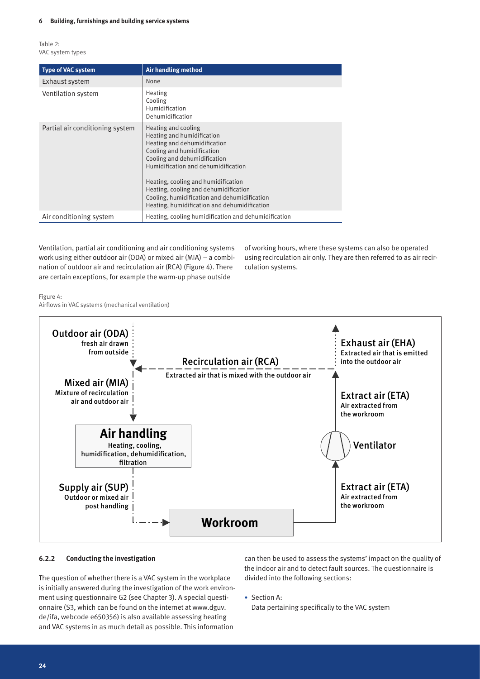Table 2: VAC system types

| <b>Type of VAC system</b>       | Air handling method                                                                                                                                                                                                                                                                                                                                                    |
|---------------------------------|------------------------------------------------------------------------------------------------------------------------------------------------------------------------------------------------------------------------------------------------------------------------------------------------------------------------------------------------------------------------|
| Exhaust system                  | None                                                                                                                                                                                                                                                                                                                                                                   |
| Ventilation system              | Heating<br>Cooling<br>Humidification<br>Dehumidification                                                                                                                                                                                                                                                                                                               |
| Partial air conditioning system | Heating and cooling<br>Heating and humidification<br>Heating and dehumidification<br>Cooling and humidification<br>Cooling and dehumidification<br>Humidification and dehumidification<br>Heating, cooling and humidification<br>Heating, cooling and dehumidification<br>Cooling, humidification and dehumidification<br>Heating, humidification and dehumidification |
| Air conditioning system         | Heating, cooling humidification and dehumidification                                                                                                                                                                                                                                                                                                                   |

Ventilation, partial air conditioning and air conditioning systems work using either outdoor air (ODA) or mixed air (MIA) – a combination of outdoor air and recirculation air (RCA) (Figure 4). There are certain exceptions, for example the warm-up phase outside

of working hours, where these systems can also be operated using recirculation air only. They are then referred to as air recirculation systems.

Figure 4:

Airflows in VAC systems (mechanical ventilation)



#### **6.2.2 Conducting the investigation**

The question of whether there is a VAC system in the workplace is initially answered during the investigation of the work environment using questionnaire G2 (see Chapter 3). A special questionnaire (S3, which can be found on the internet at www.dguv. de/ifa, webcode e650356) is also available assessing heating and VAC systems in as much detail as possible. This information

can then be used to assess the systems' impact on the quality of the indoor air and to detect fault sources. The questionnaire is divided into the following sections:

• Section A:

Data pertaining specifically to the VAC system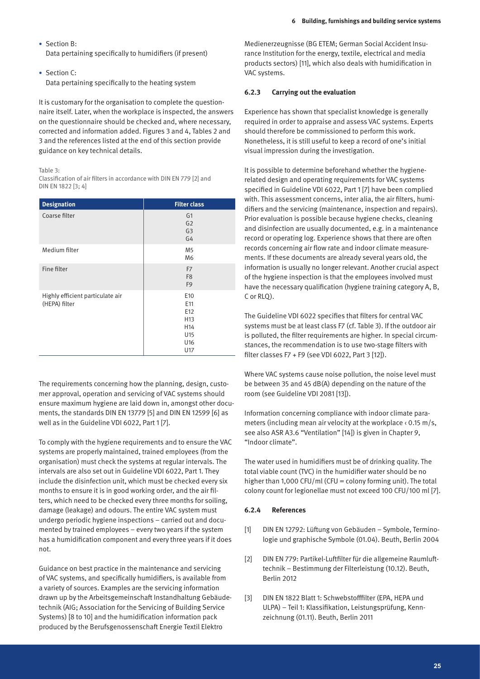- • Section B: Data pertaining specifically to humidifiers (if present)
- • Section C: Data pertaining specifically to the heating system

It is customary for the organisation to complete the questionnaire itself. Later, when the workplace is inspected, the answers on the questionnaire should be checked and, where necessary, corrected and information added. Figures 3 and 4, Tables 2 and 3 and the references listed at the end of this section provide guidance on key technical details.

#### Table 3:

Classification of air filters in accordance with DIN EN 779 [2] and DIN EN 1822 [3; 4]

| <b>Designation</b>                                | <b>Filter class</b>                                                                      |
|---------------------------------------------------|------------------------------------------------------------------------------------------|
| Coarse filter                                     | G <sub>1</sub><br>G <sub>2</sub><br>G <sub>3</sub><br>G4                                 |
| Medium filter                                     | M <sub>5</sub><br>M6                                                                     |
| Fine filter                                       | F7<br>F <sub>8</sub><br>F <sub>9</sub>                                                   |
| Highly efficient particulate air<br>(HEPA) filter | E <sub>10</sub><br>E11<br>E12<br>H <sub>13</sub><br>H14<br>U15<br>U <sub>16</sub><br>U17 |

The requirements concerning how the planning, design, customer approval, operation and servicing of VAC systems should ensure maximum hygiene are laid down in, amongst other documents, the standards DIN EN 13779 [5] and DIN EN 12599 [6] as well as in the Guideline VDI 6022, Part 1 [7].

To comply with the hygiene requirements and to ensure the VAC systems are properly maintained, trained employees (from the organisation) must check the systems at regular intervals. The intervals are also set out in Guideline VDI 6022, Part 1. They include the disinfection unit, which must be checked every six months to ensure it is in good working order, and the air filters, which need to be checked every three months for soiling, damage (leakage) and odours. The entire VAC system must undergo periodic hygiene inspections – carried out and documented by trained employees – every two years if the system has a humidification component and every three years if it does not.

Guidance on best practice in the maintenance and servicing of VAC systems, and specifically humidifiers, is available from a variety of sources. Examples are the servicing information drawn up by the Arbeitsgemeinschaft Instandhaltung Gebäudetechnik (AIG; Association for the Servicing of Building Service Systems) [8 to 10] and the humidification information pack produced by the Berufsgenossenschaft Energie Textil Elektro

Medienerzeugnisse (BG ETEM; German Social Accident Insurance Institution for the energy, textile, electrical and media products sectors) [11], which also deals with humidification in VAC systems.

#### **6.2.3 Carrying out the evaluation**

Experience has shown that specialist knowledge is generally required in order to appraise and assess VAC systems. Experts should therefore be commissioned to perform this work. Nonetheless, it is still useful to keep a record of one's initial visual impression during the investigation.

It is possible to determine beforehand whether the hygienerelated design and operating requirements for VAC systems specified in Guideline VDI 6022, Part 1 [7] have been complied with. This assessment concerns, inter alia, the air filters, humidifiers and the servicing (maintenance, inspection and repairs). Prior evaluation is possible because hygiene checks, cleaning and disinfection are usually documented, e.g. in a maintenance record or operating log. Experience shows that there are often records concerning air flow rate and indoor climate measurements. If these documents are already several years old, the information is usually no longer relevant. Another crucial aspect of the hygiene inspection is that the employees involved must have the necessary qualification (hygiene training category A, B, C or RLO).

The Guideline VDI 6022 specifies that filters for central VAC systems must be at least class F7 (cf. Table 3). If the outdoor air is polluted, the filter requirements are higher. In special circumstances, the recommendation is to use two-stage filters with filter classes F7 + F9 (see VDI 6022, Part 3 [12]).

Where VAC systems cause noise pollution, the noise level must be between 35 and 45 dB(A) depending on the nature of the room (see Guideline VDI 2081 [13]).

Information concerning compliance with indoor climate parameters (including mean air velocity at the workplace  $\cdot$  0.15 m/s, see also ASR A3.6 "Ventilation" [14]) is given in Chapter 9, "Indoor climate".

The water used in humidifiers must be of drinking quality. The total viable count (TVC) in the humidifier water should be no higher than 1,000 CFU/ml (CFU = colony forming unit). The total colony count for legionellae must not exceed 100 CFU/100 ml [7].

# **6.2.4 References**

- [1] DIN EN 12792: Lüftung von Gebäuden Symbole, Terminologie und graphische Symbole (01.04). Beuth, Berlin 2004
- [2] DIN EN 779: Partikel-Luftfilter für die allgemeine Raumlufttechnik – Bestimmung der Filterleistung (10.12). Beuth, Berlin 2012
- [3] DIN EN 1822 Blatt 1: Schwebstofffilter (EPA, HEPA und ULPA) – Teil 1: Klassifikation, Leistungsprüfung, Kennzeichnung (01.11). Beuth, Berlin 2011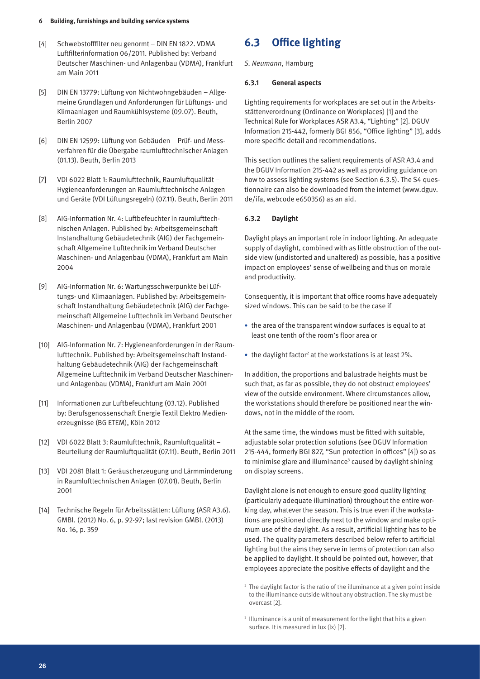- [4] Schwebstofffilter neu genormt DIN EN 1822. VDMA Luftfilterinformation 06/2011. Published by: Verband Deutscher Maschinen- und Anlagenbau (VDMA), Frankfurt am Main 2011
- [5] DIN EN 13779: Lüftung von Nichtwohngebäuden Allgemeine Grundlagen und Anforderungen für Lüftungs- und Klimaanlagen und Raumkühlsysteme (09.07). Beuth, Berlin 2007
- [6] DIN EN 12599: Lüftung von Gebäuden Prüf- und Messverfahren für die Übergabe raumlufttechnischer Anlagen (01.13). Beuth, Berlin 2013
- [7] VDI 6022 Blatt 1: Raumlufttechnik, Raumluftqualität Hygieneanforderungen an Raumlufttechnische Anlagen und Geräte (VDI Lüftungsregeln) (07.11). Beuth, Berlin 2011
- [8] AIG-Information Nr. 4: Luftbefeuchter in raumlufttechnischen Anlagen. Published by: Arbeitsgemeinschaft Instandhaltung Gebäudetechnik (AIG) der Fachgemeinschaft Allgemeine Lufttechnik im Verband Deutscher Maschinen- und Anlagenbau (VDMA), Frankfurt am Main 2004
- [9] AIG-Information Nr. 6: Wartungsschwerpunkte bei Lüftungs- und Klimaanlagen. Published by: Arbeitsgemeinschaft Instandhaltung Gebäudetechnik (AIG) der Fachgemeinschaft Allgemeine Lufttechnik im Verband Deutscher Maschinen- und Anlagenbau (VDMA), Frankfurt 2001
- [10] AIG-Information Nr. 7: Hygieneanforderungen in der Raumlufttechnik. Published by: Arbeitsgemeinschaft Instandhaltung Gebäudetechnik (AIG) der Fachgemeinschaft Allgemeine Lufttechnik im Verband Deutscher Maschinenund Anlagenbau (VDMA), Frankfurt am Main 2001
- [11] Informationen zur Luftbefeuchtung (03.12). Published by: Berufsgenossenschaft Energie Textil Elektro Medienerzeugnisse (BG ETEM), Köln 2012
- [12] VDI 6022 Blatt 3: Raumlufttechnik, Raumluftqualität Beurteilung der Raumluftqualität (07.11). Beuth, Berlin 2011
- [13] VDI 2081 Blatt 1: Geräuscherzeugung und Lärmminderung in Raumlufttechnischen Anlagen (07.01). Beuth, Berlin 2001
- [14] Technische Regeln für Arbeitsstätten: Lüftung (ASR A3.6). GMBl. (2012) No. 6, p. 92-97; last revision GMBl. (2013) No. 16, p. 359

# **6.3 Office lighting**

*S. Neumann*, Hamburg

### **6.3.1 General aspects**

Lighting requirements for workplaces are set out in the Arbeitsstättenverordnung (Ordinance on Workplaces) [1] and the Technical Rule for Workplaces ASR A3.4, "Lighting" [2]. DGUV Information 215-442, formerly BGI 856, "Office lighting" [3], adds more specific detail and recommendations.

This section outlines the salient requirements of ASR A3.4 and the DGUV Information 215-442 as well as providing guidance on how to assess lighting systems (see Section 6.3.5). The S4 questionnaire can also be downloaded from the internet (www.dguv. de/ifa, webcode e650356) as an aid.

# **6.3.2 Daylight**

Daylight plays an important role in indoor lighting. An adequate supply of daylight, combined with as little obstruction of the outside view (undistorted and unaltered) as possible, has a positive impact on employees' sense of wellbeing and thus on morale and productivity.

Consequently, it is important that office rooms have adequately sized windows. This can be said to be the case if

- the area of the transparent window surfaces is equal to at least one tenth of the room's floor area or
- $\bullet$  the daylight factor<sup>2</sup> at the workstations is at least 2%.

In addition, the proportions and balustrade heights must be such that, as far as possible, they do not obstruct employees' view of the outside environment. Where circumstances allow, the workstations should therefore be positioned near the windows, not in the middle of the room.

At the same time, the windows must be fitted with suitable, adjustable solar protection solutions (see DGUV Information 215-444, formerly BGI 827, "Sun protection in offices" [4]) so as to minimise glare and illuminance<sup>3</sup> caused by daylight shining on display screens.

Daylight alone is not enough to ensure good quality lighting (particularly adequate illumination) throughout the entire working day, whatever the season. This is true even if the workstations are positioned directly next to the window and make optimum use of the daylight. As a result, artificial lighting has to be used. The quality parameters described below refer to artificial lighting but the aims they serve in terms of protection can also be applied to daylight. It should be pointed out, however, that employees appreciate the positive effects of daylight and the

<sup>2</sup> The daylight factor is the ratio of the illuminance at a given point inside to the illuminance outside without any obstruction. The sky must be overcast [2].

<sup>&</sup>lt;sup>3</sup> Illuminance is a unit of measurement for the light that hits a given surface. It is measured in lux (lx) [2].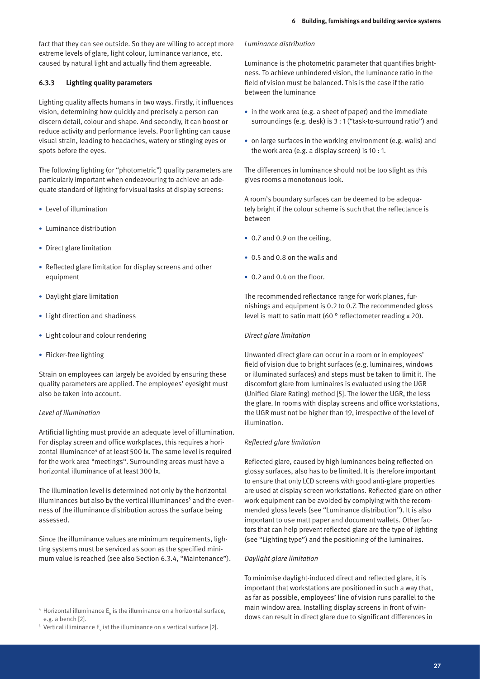fact that they can see outside. So they are willing to accept more extreme levels of glare, light colour, luminance variance, etc. caused by natural light and actually find them agreeable.

### **6.3.3 Lighting quality parameters**

Lighting quality affects humans in two ways. Firstly, it influences vision, determining how quickly and precisely a person can discern detail, colour and shape. And secondly, it can boost or reduce activity and performance levels. Poor lighting can cause visual strain, leading to headaches, watery or stinging eyes or spots before the eyes.

The following lighting (or "photometric") quality parameters are particularly important when endeavouring to achieve an adequate standard of lighting for visual tasks at display screens:

- • Level of illumination
- Luminance distribution
- Direct glare limitation
- Reflected glare limitation for display screens and other equipment
- Daylight glare limitation
- Light direction and shadiness
- • Light colour and colour rendering
- Flicker-free lighting

Strain on employees can largely be avoided by ensuring these quality parameters are applied. The employees' eyesight must also be taken into account.

#### *Level of illumination*

Artificial lighting must provide an adequate level of illumination. For display screen and office workplaces, this requires a horizontal illuminance<sup>4</sup> of at least 500 lx. The same level is required for the work area "meetings". Surrounding areas must have a horizontal illuminance of at least 300 lx.

The illumination level is determined not only by the horizontal illuminances but also by the vertical illuminances<sup>5</sup> and the evenness of the illuminance distribution across the surface being assessed.

Since the illuminance values are minimum requirements, lighting systems must be serviced as soon as the specified minimum value is reached (see also Section 6.3.4, "Maintenance").

#### *Luminance distribution*

Luminance is the photometric parameter that quantifies brightness. To achieve unhindered vision, the luminance ratio in the field of vision must be balanced. This is the case if the ratio between the luminance

- in the work area (e.g. a sheet of paper) and the immediate surroundings (e.g. desk) is 3 : 1 ("task-to-surround ratio") and
- on large surfaces in the working environment (e.g. walls) and the work area (e.g. a display screen) is 10 : 1.

The differences in luminance should not be too slight as this gives rooms a monotonous look.

A room's boundary surfaces can be deemed to be adequately bright if the colour scheme is such that the reflectance is between

- 0.7 and 0.9 on the ceiling,
- • 0.5 and 0.8 on the walls and
- 0.2 and 0.4 on the floor.

The recommended reflectance range for work planes, furnishings and equipment is 0.2 to 0.7. The recommended gloss level is matt to satin matt (60 ° reflectometer reading ≤ 20).

### *Direct glare limitation*

Unwanted direct glare can occur in a room or in employees' field of vision due to bright surfaces (e.g. luminaires, windows or illuminated surfaces) and steps must be taken to limit it. The discomfort glare from luminaires is evaluated using the UGR (Unified Glare Rating) method [5]. The lower the UGR, the less the glare. In rooms with display screens and office workstations, the UGR must not be higher than 19, irrespective of the level of illumination.

#### *Reflected glare limitation*

Reflected glare, caused by high luminances being reflected on glossy surfaces, also has to be limited. It is therefore important to ensure that only LCD screens with good anti-glare properties are used at display screen workstations. Reflected glare on other work equipment can be avoided by complying with the recommended gloss levels (see "Luminance distribution"). It is also important to use matt paper and document wallets. Other factors that can help prevent reflected glare are the type of lighting (see "Lighting type") and the positioning of the luminaires.

#### *Daylight glare limitation*

To minimise daylight-induced direct and reflected glare, it is important that workstations are positioned in such a way that, as far as possible, employees' line of vision runs parallel to the main window area. Installing display screens in front of windows can result in direct glare due to significant differences in

 $^4$  Horizontal illuminance  $\mathsf{E}_\mathsf{h}$  is the illuminance on a horizontal surface, e.g. a bench [2].

 $^{\rm 5}$  Vertical illiminance E $_{\rm v}$  ist the illuminance on a vertical surface [2].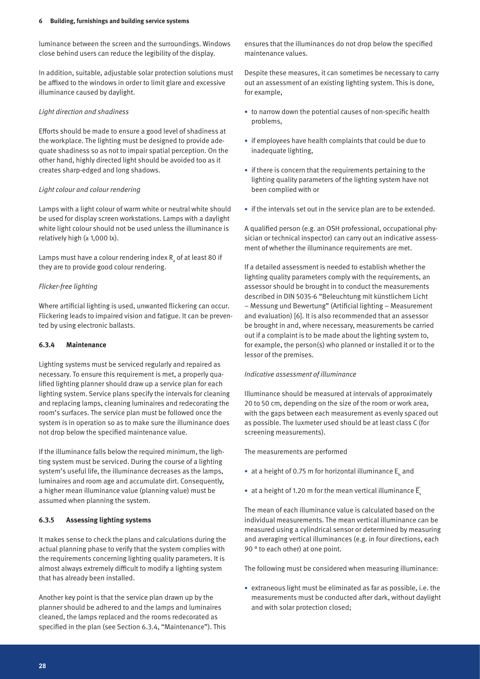luminance between the screen and the surroundings. Windows close behind users can reduce the legibility of the display.

In addition, suitable, adjustable solar protection solutions must be affixed to the windows in order to limit glare and excessive illuminance caused by daylight.

#### *Light direction and shadiness*

Efforts should be made to ensure a good level of shadiness at the workplace. The lighting must be designed to provide adequate shadiness so as not to impair spatial perception. On the other hand, highly directed light should be avoided too as it creates sharp-edged and long shadows.

# *Light colour and colour rendering*

Lamps with a light colour of warm white or neutral white should be used for display screen workstations. Lamps with a daylight white light colour should not be used unless the illuminance is relatively high  $(≥ 1,000$  lx).

Lamps must have a colour rendering index  $\mathtt{R}_{_\mathrm{a}}$  of at least 80 if they are to provide good colour rendering.

# *Flicker-free lighting*

Where artificial lighting is used, unwanted flickering can occur. Flickering leads to impaired vision and fatigue. It can be prevented by using electronic ballasts.

#### **6.3.4 Maintenance**

Lighting systems must be serviced regularly and repaired as necessary. To ensure this requirement is met, a properly qualified lighting planner should draw up a service plan for each lighting system. Service plans specify the intervals for cleaning and replacing lamps, cleaning luminaires and redecorating the room's surfaces. The service plan must be followed once the system is in operation so as to make sure the illuminance does not drop below the specified maintenance value.

If the illuminance falls below the required minimum, the lighting system must be serviced. During the course of a lighting system's useful life, the illuminance decreases as the lamps, luminaires and room age and accumulate dirt. Consequently, a higher mean illuminance value (planning value) must be assumed when planning the system.

# **6.3.5 Assessing lighting systems**

It makes sense to check the plans and calculations during the actual planning phase to verify that the system complies with the requirements concerning lighting quality parameters. It is almost always extremely difficult to modify a lighting system that has already been installed.

Another key point is that the service plan drawn up by the planner should be adhered to and the lamps and luminaires cleaned, the lamps replaced and the rooms redecorated as specified in the plan (see Section 6.3.4, "Maintenance"). This ensures that the illuminances do not drop below the specified maintenance values.

Despite these measures, it can sometimes be necessary to carry out an assessment of an existing lighting system. This is done, for example,

- to narrow down the potential causes of non-specific health problems,
- if employees have health complaints that could be due to inadequate lighting,
- if there is concern that the requirements pertaining to the lighting quality parameters of the lighting system have not been complied with or
- if the intervals set out in the service plan are to be extended.

A qualified person (e.g. an OSH professional, occupational physician or technical inspector) can carry out an indicative assessment of whether the illuminance requirements are met.

If a detailed assessment is needed to establish whether the lighting quality parameters comply with the requirements, an assessor should be brought in to conduct the measurements described in DIN 5035-6 "Beleuchtung mit künstlichem Licht – Messung und Bewertung" (Artificial lighting – Measurement and evaluation) [6]. It is also recommended that an assessor be brought in and, where necessary, measurements be carried out if a complaint is to be made about the lighting system to, for example, the person(s) who planned or installed it or to the lessor of the premises.

#### *Indicative assessment of illuminance*

Illuminance should be measured at intervals of approximately 20 to 50 cm, depending on the size of the room or work area, with the gaps between each measurement as evenly spaced out as possible. The luxmeter used should be at least class C (for screening measurements).

The measurements are performed

- at a height of 0.75 m for horizontal illuminance  $\mathsf{E}_\mathsf{h}$  and
- at a height of 1.20 m for the mean vertical illuminance  $\overline{E}_{v}$

The mean of each illuminance value is calculated based on the individual measurements. The mean vertical illuminance can be measured using a cylindrical sensor or determined by measuring and averaging vertical illuminances (e.g. in four directions, each 90 ° to each other) at one point.

The following must be considered when measuring illuminance:

• extraneous light must be eliminated as far as possible, i.e. the measurements must be conducted after dark, without daylight and with solar protection closed;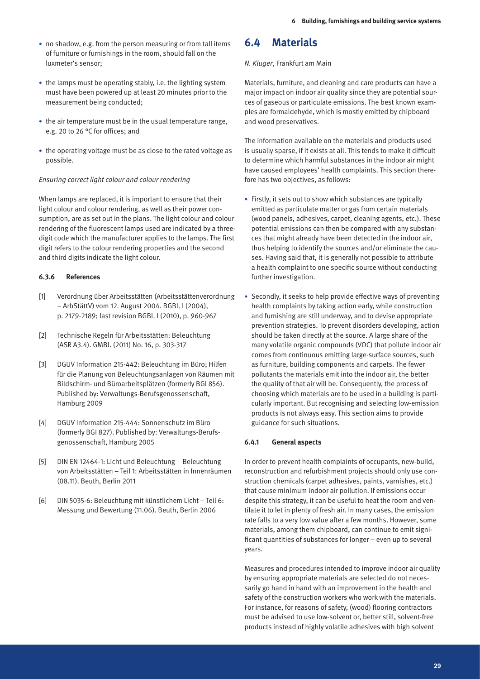- no shadow, e.g. from the person measuring or from tall items of furniture or furnishings in the room, should fall on the luxmeter's sensor;
- the lamps must be operating stably, i.e. the lighting system must have been powered up at least 20 minutes prior to the measurement being conducted;
- the air temperature must be in the usual temperature range, e.g. 20 to 26 °C for offices; and
- the operating voltage must be as close to the rated voltage as possible.

# *Ensuring correct light colour and colour rendering*

When lamps are replaced, it is important to ensure that their light colour and colour rendering, as well as their power consumption, are as set out in the plans. The light colour and colour rendering of the fluorescent lamps used are indicated by a threedigit code which the manufacturer applies to the lamps. The first digit refers to the colour rendering properties and the second and third digits indicate the light colour.

# **6.3.6 References**

- [1] Verordnung über Arbeitsstätten (Arbeitsstättenverordnung – ArbStättV) vom 12. August 2004. BGBl. I (2004), p. 2179-2189; last revision BGBl. I (2010), p. 960-967
- [2] Technische Regeln für Arbeitsstätten: Beleuchtung (ASR A3.4). GMBl. (2011) No. 16, p. 303-317
- [3] DGUV Information 215-442: Beleuchtung im Büro; Hilfen für die Planung von Beleuchtungsanlagen von Räumen mit Bildschirm- und Büroarbeitsplätzen (formerly BGI 856). Published by: Verwaltungs-Berufsgenossenschaft, Hamburg 2009
- [4] DGUV Information 215-444: Sonnenschutz im Büro (formerly BGI 827). Published by: Verwaltungs-Berufsgenossenschaft, Hamburg 2005
- [5] DIN EN 12464-1: Licht und Beleuchtung Beleuchtung von Arbeitsstätten – Teil 1: Arbeitsstätten in Innenräumen (08.11). Beuth, Berlin 2011
- [6] DIN 5035-6: Beleuchtung mit künstlichem Licht Teil 6: Messung und Bewertung (11.06). Beuth, Berlin 2006

# **6.4 Materials**

#### *N. Kluger*, Frankfurt am Main

Materials, furniture, and cleaning and care products can have a major impact on indoor air quality since they are potential sources of gaseous or particulate emissions. The best known examples are formaldehyde, which is mostly emitted by chipboard and wood preservatives.

The information available on the materials and products used is usually sparse, if it exists at all. This tends to make it difficult to determine which harmful substances in the indoor air might have caused employees' health complaints. This section therefore has two objectives, as follows:

- Firstly, it sets out to show which substances are typically emitted as particulate matter or gas from certain materials (wood panels, adhesives, carpet, cleaning agents, etc.). These potential emissions can then be compared with any substances that might already have been detected in the indoor air, thus helping to identify the sources and/or eliminate the causes. Having said that, it is generally not possible to attribute a health complaint to one specific source without conducting further investigation.
- Secondly, it seeks to help provide effective ways of preventing health complaints by taking action early, while construction and furnishing are still underway, and to devise appropriate prevention strategies. To prevent disorders developing, action should be taken directly at the source. A large share of the many volatile organic compounds (VOC) that pollute indoor air comes from continuous emitting large-surface sources, such as furniture, building components and carpets. The fewer pollutants the materials emit into the indoor air, the better the quality of that air will be. Consequently, the process of choosing which materials are to be used in a building is particularly important. But recognising and selecting low-emission products is not always easy. This section aims to provide guidance for such situations.

#### **6.4.1 General aspects**

In order to prevent health complaints of occupants, new-build, reconstruction and refurbishment projects should only use construction chemicals (carpet adhesives, paints, varnishes, etc.) that cause minimum indoor air pollution. If emissions occur despite this strategy, it can be useful to heat the room and ventilate it to let in plenty of fresh air. In many cases, the emission rate falls to a very low value after a few months. However, some materials, among them chipboard, can continue to emit significant quantities of substances for longer – even up to several years.

Measures and procedures intended to improve indoor air quality by ensuring appropriate materials are selected do not necessarily go hand in hand with an improvement in the health and safety of the construction workers who work with the materials. For instance, for reasons of safety, (wood) flooring contractors must be advised to use low-solvent or, better still, solvent-free products instead of highly volatile adhesives with high solvent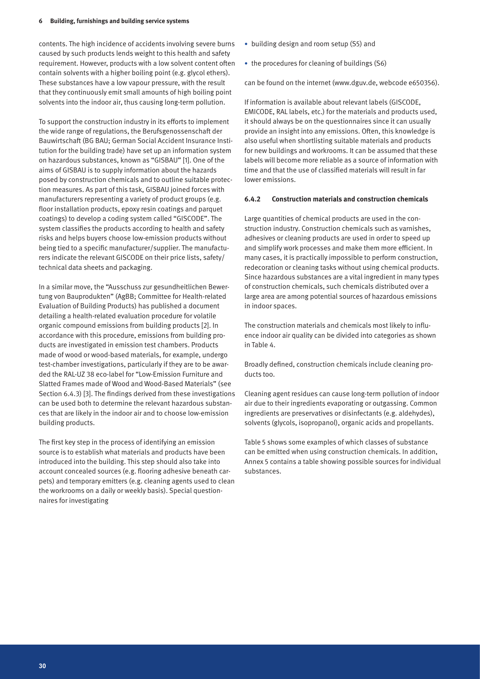contents. The high incidence of accidents involving severe burns caused by such products lends weight to this health and safety requirement. However, products with a low solvent content often contain solvents with a higher boiling point (e.g. glycol ethers). These substances have a low vapour pressure, with the result that they continuously emit small amounts of high boiling point solvents into the indoor air, thus causing long-term pollution.

To support the construction industry in its efforts to implement the wide range of regulations, the Berufsgenossenschaft der Bauwirtschaft (BG BAU; German Social Accident Insurance Institution for the building trade) have set up an information system on hazardous substances, known as "GISBAU" [1]. One of the aims of GISBAU is to supply information about the hazards posed by construction chemicals and to outline suitable protection measures. As part of this task, GISBAU joined forces with manufacturers representing a variety of product groups (e.g. floor installation products, epoxy resin coatings and parquet coatings) to develop a coding system called "GISCODE". The system classifies the products according to health and safety risks and helps buyers choose low-emission products without being tied to a specific manufacturer/supplier. The manufacturers indicate the relevant GISCODE on their price lists, safety/ technical data sheets and packaging.

In a similar move, the "Ausschuss zur gesundheitlichen Bewertung von Bauprodukten" (AgBB; Committee for Health-related Evaluation of Building Products) has published a document detailing a health-related evaluation procedure for volatile organic compound emissions from building products [2]. In accordance with this procedure, emissions from building products are investigated in emission test chambers. Products made of wood or wood-based materials, for example, undergo test-chamber investigations, particularly if they are to be awarded the RAL-UZ 38 eco-label for "Low-Emission Furniture and Slatted Frames made of Wood and Wood-Based Materials" (see Section 6.4.3) [3]. The findings derived from these investigations can be used both to determine the relevant hazardous substances that are likely in the indoor air and to choose low-emission building products.

The first key step in the process of identifying an emission source is to establish what materials and products have been introduced into the building. This step should also take into account concealed sources (e.g. flooring adhesive beneath carpets) and temporary emitters (e.g. cleaning agents used to clean the workrooms on a daily or weekly basis). Special questionnaires for investigating

- building design and room setup (S5) and
- the procedures for cleaning of buildings (S6)

can be found on the internet (www.dguv.de, webcode e650356).

If information is available about relevant labels (GISCODE, EMICODE, RAL labels, etc.) for the materials and products used, it should always be on the questionnaires since it can usually provide an insight into any emissions. Often, this knowledge is also useful when shortlisting suitable materials and products for new buildings and workrooms. It can be assumed that these labels will become more reliable as a source of information with time and that the use of classified materials will result in far lower emissions.

#### **6.4.2 Construction materials and construction chemicals**

Large quantities of chemical products are used in the construction industry. Construction chemicals such as varnishes, adhesives or cleaning products are used in order to speed up and simplify work processes and make them more efficient. In many cases, it is practically impossible to perform construction, redecoration or cleaning tasks without using chemical products. Since hazardous substances are a vital ingredient in many types of construction chemicals, such chemicals distributed over a large area are among potential sources of hazardous emissions in indoor spaces.

The construction materials and chemicals most likely to influence indoor air quality can be divided into categories as shown in Table 4.

Broadly defined, construction chemicals include cleaning products too.

Cleaning agent residues can cause long-term pollution of indoor air due to their ingredients evaporating or outgassing. Common ingredients are preservatives or disinfectants (e.g. aldehydes), solvents (glycols, isopropanol), organic acids and propellants.

Table 5 shows some examples of which classes of substance can be emitted when using construction chemicals. In addition, Annex 5 contains a table showing possible sources for individual substances.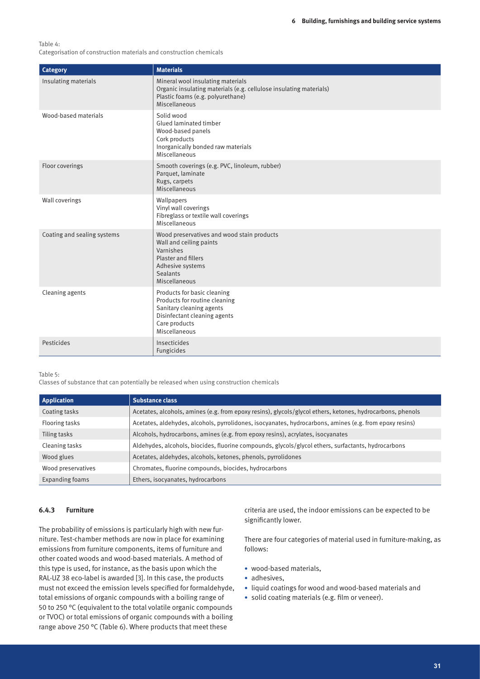Table 4:

Categorisation of construction materials and construction chemicals

| Category                    | <b>Materials</b>                                                                                                                                                  |
|-----------------------------|-------------------------------------------------------------------------------------------------------------------------------------------------------------------|
| Insulating materials        | Mineral wool insulating materials<br>Organic insulating materials (e.g. cellulose insulating materials)<br>Plastic foams (e.g. polyurethane)<br>Miscellaneous     |
| Wood-based materials        | Solid wood<br>Glued laminated timber<br>Wood-based panels<br>Cork products<br>Inorganically bonded raw materials<br>Miscellaneous                                 |
| Floor coverings             | Smooth coverings (e.g. PVC, linoleum, rubber)<br>Parquet, laminate<br>Rugs, carpets<br>Miscellaneous                                                              |
| Wall coverings              | Wallpapers<br>Vinyl wall coverings<br>Fibreglass or textile wall coverings<br>Miscellaneous                                                                       |
| Coating and sealing systems | Wood preservatives and wood stain products<br>Wall and ceiling paints<br>Varnishes<br>Plaster and fillers<br>Adhesive systems<br><b>Sealants</b><br>Miscellaneous |
| Cleaning agents             | Products for basic cleaning<br>Products for routine cleaning<br>Sanitary cleaning agents<br>Disinfectant cleaning agents<br>Care products<br>Miscellaneous        |
| Pesticides                  | Insecticides<br>Fungicides                                                                                                                                        |

#### Table 5:

Classes of substance that can potentially be released when using construction chemicals

| <b>Application</b> | <b>Substance class</b>                                                                                     |
|--------------------|------------------------------------------------------------------------------------------------------------|
| Coating tasks      | Acetates, alcohols, amines (e.g. from epoxy resins), glycols/glycol ethers, ketones, hydrocarbons, phenols |
| Flooring tasks     | Acetates, aldehydes, alcohols, pyrrolidones, isocyanates, hydrocarbons, amines (e.g. from epoxy resins)    |
| Tiling tasks       | Alcohols, hydrocarbons, amines (e.g. from epoxy resins), acrylates, isocyanates                            |
| Cleaning tasks     | Aldehydes, alcohols, biocides, fluorine compounds, glycols/glycol ethers, surfactants, hydrocarbons        |
| Wood glues         | Acetates, aldehydes, alcohols, ketones, phenols, pyrrolidones                                              |
| Wood preservatives | Chromates, fluorine compounds, biocides, hydrocarbons                                                      |
| Expanding foams    | Ethers, isocyanates, hydrocarbons                                                                          |

# **6.4.3 Furniture**

The probability of emissions is particularly high with new furniture. Test-chamber methods are now in place for examining emissions from furniture components, items of furniture and other coated woods and wood-based materials. A method of this type is used, for instance, as the basis upon which the RAL-UZ 38 eco-label is awarded [3]. In this case, the products must not exceed the emission levels specified for formaldehyde, total emissions of organic compounds with a boiling range of 50 to 250 °C (equivalent to the total volatile organic compounds or TVOC) or total emissions of organic compounds with a boiling range above 250 °C (Table 6). Where products that meet these

criteria are used, the indoor emissions can be expected to be significantly lower.

There are four categories of material used in furniture-making, as follows:

- wood-based materials,
- adhesives.
- • liquid coatings for wood and wood-based materials and
- solid coating materials (e.g. film or veneer).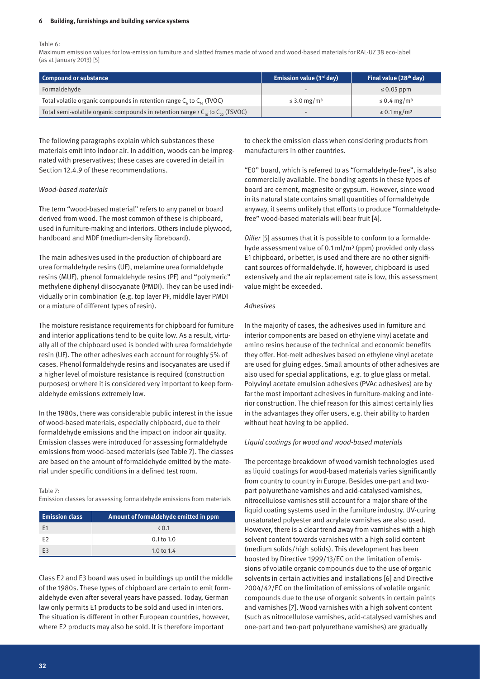#### **6 Building, furnishings and building service systems**

Table 6:

Maximum emission values for low-emission furniture and slatted frames made of wood and wood-based materials for RAL-UZ 38 eco-label (as at January 2013) [5]

| Compound or substance                                                                       | Emission value $(3rd$ day)   | Final value (28 <sup>th</sup> day) |
|---------------------------------------------------------------------------------------------|------------------------------|------------------------------------|
| Formaldehyde                                                                                | $\overline{\phantom{a}}$     | $\leq 0.05$ ppm                    |
| Total volatile organic compounds in retention range $C_{\epsilon}$ to $C_{\epsilon}$ (TVOC) | $\leq$ 3.0 mg/m <sup>3</sup> | $\leq$ 0.4 mg/m <sup>3</sup>       |
| Total semi-volatile organic compounds in retention range > $C_{16}$ to $C_{22}$ (TSVOC)     |                              | $\leq$ 0.1 mg/m <sup>3</sup>       |

The following paragraphs explain which substances these materials emit into indoor air. In addition, woods can be impregnated with preservatives; these cases are covered in detail in Section 12.4.9 of these recommendations.

#### *Wood-based materials*

The term "wood-based material" refers to any panel or board derived from wood. The most common of these is chipboard, used in furniture-making and interiors. Others include plywood, hardboard and MDF (medium-density fibreboard).

The main adhesives used in the production of chipboard are urea formaldehyde resins (UF), melamine urea formaldehyde resins (MUF), phenol formaldehyde resins (PF) and "polymeric" methylene diphenyl diisocyanate (PMDI). They can be used individually or in combination (e.g. top layer PF, middle layer PMDI or a mixture of different types of resin).

The moisture resistance requirements for chipboard for furniture and interior applications tend to be quite low. As a result, virtually all of the chipboard used is bonded with urea formaldehyde resin (UF). The other adhesives each account for roughly 5% of cases. Phenol formaldehyde resins and isocyanates are used if a higher level of moisture resistance is required (construction purposes) or where it is considered very important to keep formaldehyde emissions extremely low.

In the 1980s, there was considerable public interest in the issue of wood-based materials, especially chipboard, due to their formaldehyde emissions and the impact on indoor air quality. Emission classes were introduced for assessing formaldehyde emissions from wood-based materials (see Table 7). The classes are based on the amount of formaldehyde emitted by the material under specific conditions in a defined test room.

Table 7:

Emission classes for assessing formaldehyde emissions from materials

| <b>Emission class</b> | Amount of formaldehyde emitted in ppm |  |
|-----------------------|---------------------------------------|--|
| F1                    | $\langle 0.1$                         |  |
| F2                    | $0.1$ to $1.0$                        |  |
| F3                    | 1.0 to $1.4$                          |  |

Class E2 and E3 board was used in buildings up until the middle of the 1980s. These types of chipboard are certain to emit formaldehyde even after several years have passed. Today, German law only permits E1 products to be sold and used in interiors. The situation is different in other European countries, however, where E2 products may also be sold. It is therefore important

to check the emission class when considering products from manufacturers in other countries.

"E0" board, which is referred to as "formaldehyde-free", is also commercially available. The bonding agents in these types of board are cement, magnesite or gypsum. However, since wood in its natural state contains small quantities of formaldehyde anyway, it seems unlikely that efforts to produce "formaldehydefree" wood-based materials will bear fruit [4].

*Diller* [5] assumes that it is possible to conform to a formaldehyde assessment value of 0.1 ml/m<sup>3</sup> (ppm) provided only class E1 chipboard, or better, is used and there are no other significant sources of formaldehyde. If, however, chipboard is used extensively and the air replacement rate is low, this assessment value might be exceeded.

#### *Adhesives*

In the majority of cases, the adhesives used in furniture and interior components are based on ethylene vinyl acetate and amino resins because of the technical and economic benefits they offer. Hot-melt adhesives based on ethylene vinyl acetate are used for gluing edges. Small amounts of other adhesives are also used for special applications, e.g. to glue glass or metal. Polyvinyl acetate emulsion adhesives (PVAc adhesives) are by far the most important adhesives in furniture-making and interior construction. The chief reason for this almost certainly lies in the advantages they offer users, e.g. their ability to harden without heat having to be applied.

#### *Liquid coatings for wood and wood-based materials*

The percentage breakdown of wood varnish technologies used as liquid coatings for wood-based materials varies significantly from country to country in Europe. Besides one-part and twopart polyurethane varnishes and acid-catalysed varnishes, nitrocellulose varnishes still account for a major share of the liquid coating systems used in the furniture industry. UV-curing unsaturated polyester and acrylate varnishes are also used. However, there is a clear trend away from varnishes with a high solvent content towards varnishes with a high solid content (medium solids/high solids). This development has been boosted by Directive 1999/13/EC on the limitation of emissions of volatile organic compounds due to the use of organic solvents in certain activities and installations [6] and Directive 2004/42/EC on the limitation of emissions of volatile organic compounds due to the use of organic solvents in certain paints and varnishes [7]. Wood varnishes with a high solvent content (such as nitrocellulose varnishes, acid-catalysed varnishes and one-part and two-part polyurethane varnishes) are gradually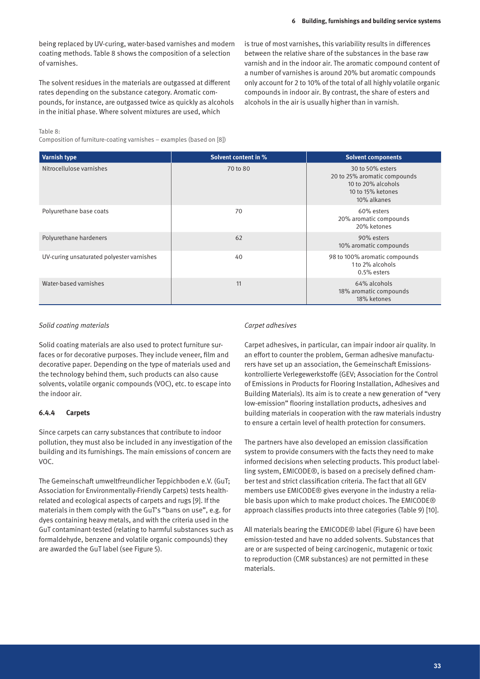being replaced by UV-curing, water-based varnishes and modern coating methods. Table 8 shows the composition of a selection of varnishes.

The solvent residues in the materials are outgassed at different rates depending on the substance category. Aromatic compounds, for instance, are outgassed twice as quickly as alcohols in the initial phase. Where solvent mixtures are used, which

is true of most varnishes, this variability results in differences between the relative share of the substances in the base raw varnish and in the indoor air. The aromatic compound content of a number of varnishes is around 20% but aromatic compounds only account for 2 to 10% of the total of all highly volatile organic compounds in indoor air. By contrast, the share of esters and alcohols in the air is usually higher than in varnish.

#### Table 8:

Composition of furniture-coating varnishes – examples (based on [8])

| <b>Varnish type</b>                       | <b>Solvent content in %</b> | <b>Solvent components</b>                                                                                  |
|-------------------------------------------|-----------------------------|------------------------------------------------------------------------------------------------------------|
| Nitrocellulose varnishes                  | 70 to 80                    | 30 to 50% esters<br>20 to 25% aromatic compounds<br>10 to 20% alcohols<br>10 to 15% ketones<br>10% alkanes |
| Polyurethane base coats                   | 70                          | 60% esters<br>20% aromatic compounds<br>20% ketones                                                        |
| Polyurethane hardeners                    | 62                          | 90% esters<br>10% aromatic compounds                                                                       |
| UV-curing unsaturated polyester varnishes | 40                          | 98 to 100% aromatic compounds<br>1 to 2% alcohols<br>0.5% esters                                           |
| Water-based varnishes                     | 11                          | 64% alcohols<br>18% aromatic compounds<br>18% ketones                                                      |

#### *Solid coating materials*

Solid coating materials are also used to protect furniture surfaces or for decorative purposes. They include veneer, film and decorative paper. Depending on the type of materials used and the technology behind them, such products can also cause solvents, volatile organic compounds (VOC), etc. to escape into the indoor air.

# **6.4.4 Carpets**

Since carpets can carry substances that contribute to indoor pollution, they must also be included in any investigation of the building and its furnishings. The main emissions of concern are VOC.

The Gemeinschaft umweltfreundlicher Teppichboden e.V. (GuT; Association for Environmentally-Friendly Carpets) tests healthrelated and ecological aspects of carpets and rugs [9]. If the materials in them comply with the GuT's "bans on use", e.g. for dyes containing heavy metals, and with the criteria used in the GuT contaminant-tested (relating to harmful substances such as formaldehyde, benzene and volatile organic compounds) they are awarded the GuT label (see Figure 5).

#### *Carpet adhesives*

Carpet adhesives, in particular, can impair indoor air quality. In an effort to counter the problem, German adhesive manufacturers have set up an association, the Gemeinschaft Emissionskontrollierte Verlegewerkstoffe (GEV; Association for the Control of Emissions in Products for Flooring Installation, Adhesives and Building Materials). Its aim is to create a new generation of "very low-emission" flooring installation products, adhesives and building materials in cooperation with the raw materials industry to ensure a certain level of health protection for consumers.

The partners have also developed an emission classification system to provide consumers with the facts they need to make informed decisions when selecting products. This product labelling system, EMICODE®, is based on a precisely defined chamber test and strict classification criteria. The fact that all GEV members use EMICODE® gives everyone in the industry a reliable basis upon which to make product choices. The EMICODE® approach classifies products into three categories (Table 9) [10].

All materials bearing the EMICODE® label (Figure 6) have been emission-tested and have no added solvents. Substances that are or are suspected of being carcinogenic, mutagenic or toxic to reproduction (CMR substances) are not permitted in these materials.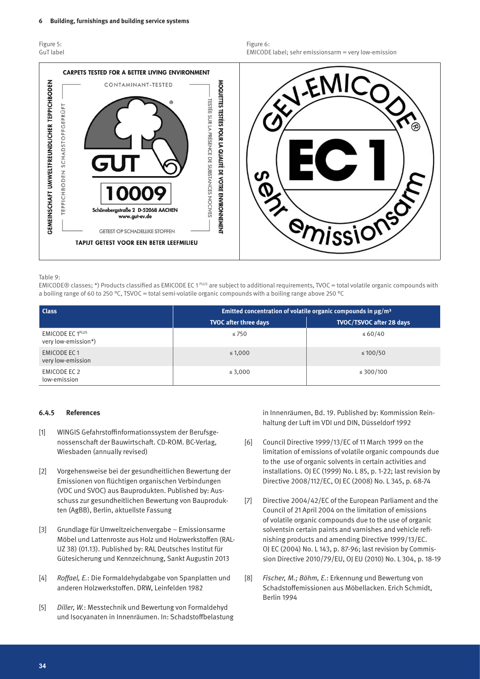| Figure 5: |           |
|-----------|-----------|
|           | GuT label |



#### Table 9:

EMICODE® classes; \*) Products classified as EMICODE EC 1 PLUS are subject to additional requirements, TVOC = total volatile organic compounds with a boiling range of 60 to 250 °C, TSVOC = total semi-volatile organic compounds with a boiling range above 250 °C

| <b>Class</b>                                   | Emitted concentration of volatile organic compounds in $\mu$ g/m <sup>3</sup> |                          |
|------------------------------------------------|-------------------------------------------------------------------------------|--------------------------|
|                                                | <b>TVOC after three days</b>                                                  | TVOC/TSVOC after 28 days |
| <b>EMICODE EC 1PLUS</b><br>very low-emission*) | $\leq 750$                                                                    | $\leq 60/40$             |
| <b>EMICODE EC1</b><br>very low-emission        | $\leq 1,000$                                                                  | $\leq 100/50$            |
| EMICODE EC 2<br>low-emission                   | ≤ 3,000                                                                       | ≤ 300/100                |

#### **6.4.5 References**

- [1] WINGIS Gefahrstoffinformationssystem der Berufsgenossenschaft der Bauwirtschaft. CD-ROM. BC-Verlag, Wiesbaden (annually revised)
- [2] Vorgehensweise bei der gesundheitlichen Bewertung der Emissionen von flüchtigen organischen Verbindungen (VOC und SVOC) aus Bauprodukten. Published by: Ausschuss zur gesundheitlichen Bewertung von Bauprodukten (AgBB), Berlin, aktuellste Fassung
- [3] Grundlage für Umweltzeichenvergabe Emissionsarme Möbel und Lattenroste aus Holz und Holzwerkstoffen (RAL-UZ 38) (01.13). Published by: RAL Deutsches Institut für Gütesicherung und Kennzeichnung, Sankt Augustin 2013
- [4] *Roffael, E.*: Die Formaldehydabgabe von Spanplatten und anderen Holzwerkstoffen. DRW, Leinfelden 1982
- [5] *Diller, W.*: Messtechnik und Bewertung von Formaldehyd und Isocyanaten in Innenräumen. In: Schadstoffbelastung

in Innenräumen, Bd. 19. Published by: Kommission Reinhaltung der Luft im VDI und DIN, Düsseldorf 1992

- [6] Council Directive 1999/13/EC of 11 March 1999 on the limitation of emissions of volatile organic compounds due to the use of organic solvents in certain activities and installations. OJ EC (1999) No. L 85, p. 1-22; last revision by Directive 2008/112/EC, OJ EC (2008) No. L 345, p. 68-74
- [7] Directive 2004/42/EC of the European Parliament and the Council of 21 April 2004 on the limitation of emissions of volatile organic compounds due to the use of organic solventsin certain paints and varnishes and vehicle refinishing products and amending Directive 1999/13/EC. OJ EC (2004) No. L 143, p. 87-96; last revision by Commission Directive 2010/79/EU, OJ EU (2010) No. L 304, p. 18-19
- [8] *Fischer, M.; Böhm, E.*: Erkennung und Bewertung von Schadstoffemissionen aus Möbellacken. Erich Schmidt, Berlin 1994